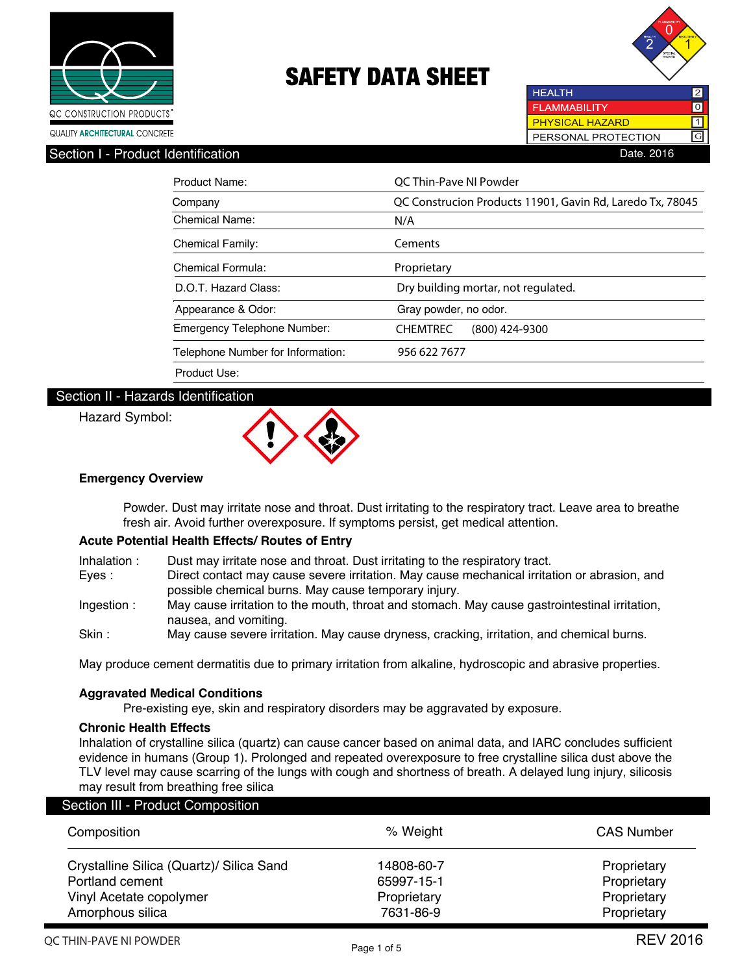



**HEALTH** 2 **FLAMMABILITY**  $\overline{\mathrm{o}}$ **PHYSICAL HAZARD**  $\overline{\mathsf{1}}$ PERSONAL PROTECTION GSection I - Product Identification **Date.** 2016

| Product Name:                      | OC Thin-Pave NI Powder                                    |
|------------------------------------|-----------------------------------------------------------|
| Company                            | QC Construcion Products 11901, Gavin Rd, Laredo Tx, 78045 |
| Chemical Name:                     | N/A                                                       |
| <b>Chemical Family:</b>            | Cements                                                   |
| Chemical Formula:                  | Proprietary                                               |
| D.O.T. Hazard Class:               | Dry building mortar, not regulated.                       |
| Appearance & Odor:                 | Gray powder, no odor.                                     |
| <b>Emergency Telephone Number:</b> | <b>CHEMTREC</b><br>$(800)$ 424-9300                       |
| Telephone Number for Information:  | 956 622 7677                                              |
| Product Use:                       |                                                           |

### Section II - Hazards Identification

#### Hazard Symbol:



#### **Emergency Overview**

 Powder. Dust may irritate nose and throat. Dust irritating to the respiratory tract. Leave area to breathe fresh air. Avoid further overexposure. If symptoms persist, get medical attention.

#### **Acute Potential Health Effects/ Routes of Entry**

| Inhalation : | Dust may irritate nose and throat. Dust irritating to the respiratory tract. |
|--------------|------------------------------------------------------------------------------|
|--------------|------------------------------------------------------------------------------|

- Eyes : Direct contact may cause severe irritation. May cause mechanical irritation or abrasion, and possible chemical burns. May cause temporary injury.
- Ingestion : May cause irritation to the mouth, throat and stomach. May cause gastrointestinal irritation, nausea, and vomiting.
- Skin : May cause severe irritation. May cause dryness, cracking, irritation, and chemical burns.

May produce cement dermatitis due to primary irritation from alkaline, hydroscopic and abrasive properties.

#### **Aggravated Medical Conditions**

Pre-existing eye, skin and respiratory disorders may be aggravated by exposure.

#### **Chronic Health Effects**

Inhalation of crystalline silica (quartz) can cause cancer based on animal data, and IARC concludes sufficient evidence in humans (Group 1). Prolonged and repeated overexposure to free crystalline silica dust above the TLV level may cause scarring of the lungs with cough and shortness of breath. A delayed lung injury, silicosis may result from breathing free silica

| Composition                              | % Weight    | <b>CAS Number</b> |
|------------------------------------------|-------------|-------------------|
| Crystalline Silica (Quartz)/ Silica Sand | 14808-60-7  | Proprietary       |
| Portland cement                          | 65997-15-1  | Proprietary       |
| Vinyl Acetate copolymer                  | Proprietary | Proprietary       |
| Amorphous silica                         | 7631-86-9   | Proprietary       |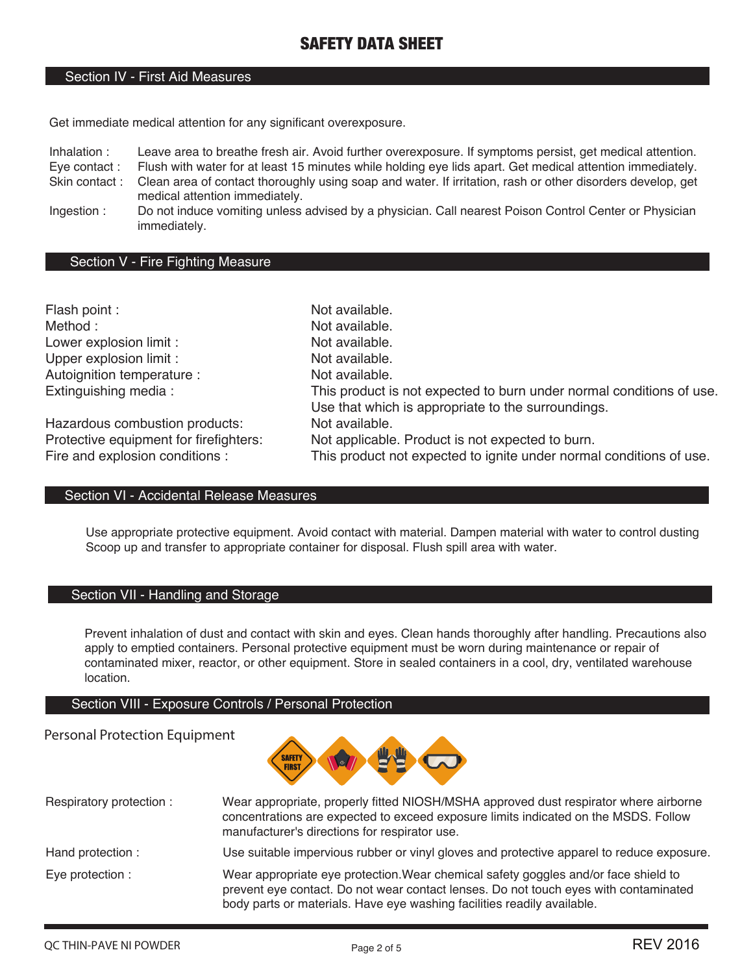#### Section IV - First Aid Measures

Get immediate medical attention for any significant overexposure.

Inhalation : Leave area to breathe fresh air. Avoid further overexposure. If symptoms persist, get medical attention.

Eye contact : Flush with water for at least 15 minutes while holding eye lids apart. Get medical attention immediately.<br>Skin contact : Clean area of contact thoroughly using soap and water. If irritation, rash or other dis Clean area of contact thoroughly using soap and water. If irritation, rash or other disorders develop, get

medical attention immediately.

Ingestion : Do not induce vomiting unless advised by a physician. Call nearest Poison Control Center or Physician immediately.

#### Section V - Fire Fighting Measure

| Flash point :                          | Not available.                                                                                                             |
|----------------------------------------|----------------------------------------------------------------------------------------------------------------------------|
| Method:                                | Not available.                                                                                                             |
| Lower explosion limit :                | Not available.                                                                                                             |
| Upper explosion limit :                | Not available.                                                                                                             |
| Autoignition temperature :             | Not available.                                                                                                             |
| Extinguishing media:                   | This product is not expected to burn under normal conditions of use.<br>Use that which is appropriate to the surroundings. |
| Hazardous combustion products:         | Not available.                                                                                                             |
| Protective equipment for firefighters: | Not applicable. Product is not expected to burn.                                                                           |
| Fire and explosion conditions :        | This product not expected to ignite under normal conditions of use.                                                        |

#### Section VI - Accidental Release Measures

Use appropriate protective equipment. Avoid contact with material. Dampen material with water to control dusting Scoop up and transfer to appropriate container for disposal. Flush spill area with water.

#### Section VII - Handling and Storage

Prevent inhalation of dust and contact with skin and eyes. Clean hands thoroughly after handling. Precautions also apply to emptied containers. Personal protective equipment must be worn during maintenance or repair of contaminated mixer, reactor, or other equipment. Store in sealed containers in a cool, dry, ventilated warehouse location.

#### Section VIII - Exposure Controls / Personal Protection

#### Personal Protection Equipment



| Respiratory protection: | Wear appropriate, properly fitted NIOSH/MSHA approved dust respirator where airborne<br>concentrations are expected to exceed exposure limits indicated on the MSDS. Follow<br>manufacturer's directions for respirator use.                           |
|-------------------------|--------------------------------------------------------------------------------------------------------------------------------------------------------------------------------------------------------------------------------------------------------|
| Hand protection :       | Use suitable impervious rubber or vinyl gloves and protective apparel to reduce exposure.                                                                                                                                                              |
| Eye protection :        | Wear appropriate eye protection. Wear chemical safety goggles and/or face shield to<br>prevent eye contact. Do not wear contact lenses. Do not touch eyes with contaminated<br>body parts or materials. Have eye washing facilities readily available. |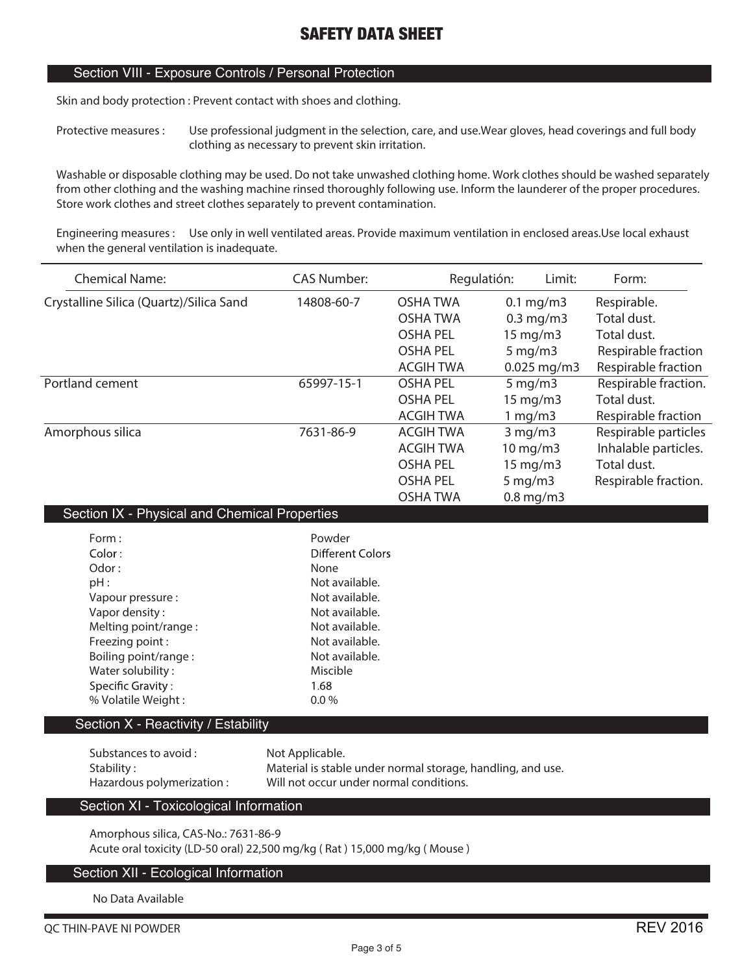#### Section VIII - Exposure Controls / Personal Protection

**Skin and body protection : Prevent contact with shoes and clothing.**

**Protective measures : Use professional judgment in the selection, care, and use.Wear gloves, head coverings and full body clothing as necessary to prevent skin irritation.**

**Washable or disposable clothing may be used. Do not take unwashed clothing home. Work clothes should be washed separately from other clothing and the washing machine rinsed thoroughly following use. Inform the launderer of the proper procedures. Store work clothes and street clothes separately to prevent contamination.**

**Engineering measures : Use only in well ventilated areas. Provide maximum ventilation in enclosed areas.Use local exhaust when the general ventilation is inadequate.**

| <b>Chemical Name:</b>                   | <b>CAS Number:</b> |                  | Regulatión: | Limit:              | Form:                |
|-----------------------------------------|--------------------|------------------|-------------|---------------------|----------------------|
| Crystalline Silica (Quartz)/Silica Sand | 14808-60-7         | <b>OSHA TWA</b>  |             | $0.1$ mg/m3         | Respirable.          |
|                                         |                    | <b>OSHA TWA</b>  |             | $0.3$ mg/m $3$      | Total dust.          |
|                                         |                    | <b>OSHA PEL</b>  |             | $15 \text{ mg/m}$   | Total dust.          |
|                                         |                    | <b>OSHA PEL</b>  |             | $5 \,\mathrm{mg/m}$ | Respirable fraction  |
|                                         |                    | ACGIH TWA        |             | $0.025$ mg/m3       | Respirable fraction  |
| Portland cement                         | 65997-15-1         | <b>OSHA PEL</b>  |             | $5 \,\mathrm{mg/m}$ | Respirable fraction. |
|                                         |                    | <b>OSHA PEL</b>  |             | $15 \text{ mg/m}$   | Total dust.          |
|                                         |                    | <b>ACGIH TWA</b> |             | 1 mg/m3             | Respirable fraction  |
| Amorphous silica                        | 7631-86-9          | <b>ACGIH TWA</b> |             | $3$ mg/m $3$        | Respirable particles |
|                                         |                    | ACGIH TWA        |             | $10 \text{ mg/m}$   | Inhalable particles. |
|                                         |                    | <b>OSHA PEL</b>  |             | $15 \text{ mg/m}$   | Total dust.          |
|                                         |                    | <b>OSHA PEL</b>  |             | $5 \,\mathrm{mg/m}$ | Respirable fraction. |
|                                         |                    | <b>OSHA TWA</b>  |             | $0.8$ mg/m $3$      |                      |

#### Section IX - Physical and Chemical Properties

| Form:<br>Color:<br>Odor:<br>pH:<br>Vapour pressure:<br>Vapor density:<br>Melting point/range:<br>Freezing point:<br>Boiling point/range:<br>Water solubility:<br><b>Specific Gravity:</b> | Powder<br>Different Colors<br>None<br>Not available.<br>Not available.<br>Not available.<br>Not available.<br>Not available.<br>Not available.<br>Miscible<br>1.68 |
|-------------------------------------------------------------------------------------------------------------------------------------------------------------------------------------------|--------------------------------------------------------------------------------------------------------------------------------------------------------------------|
|                                                                                                                                                                                           |                                                                                                                                                                    |
| % Volatile Weight:                                                                                                                                                                        | $0.0\%$                                                                                                                                                            |

#### Section X - Reactivity / Estability

| Substances to avoid :     | Not Applicable.                                             |
|---------------------------|-------------------------------------------------------------|
| Stability :               | Material is stable under normal storage, handling, and use. |
| Hazardous polymerization: | Will not occur under normal conditions.                     |

#### Section XI - Toxicological Information

**Amorphous silica, CAS-No.: 7631-86-9 Acute oral toxicity (LD-50 oral) 22,500 mg/kg ( Rat ) 15,000 mg/kg ( Mouse )**

#### Section XII - Ecological Information

**No Data Available**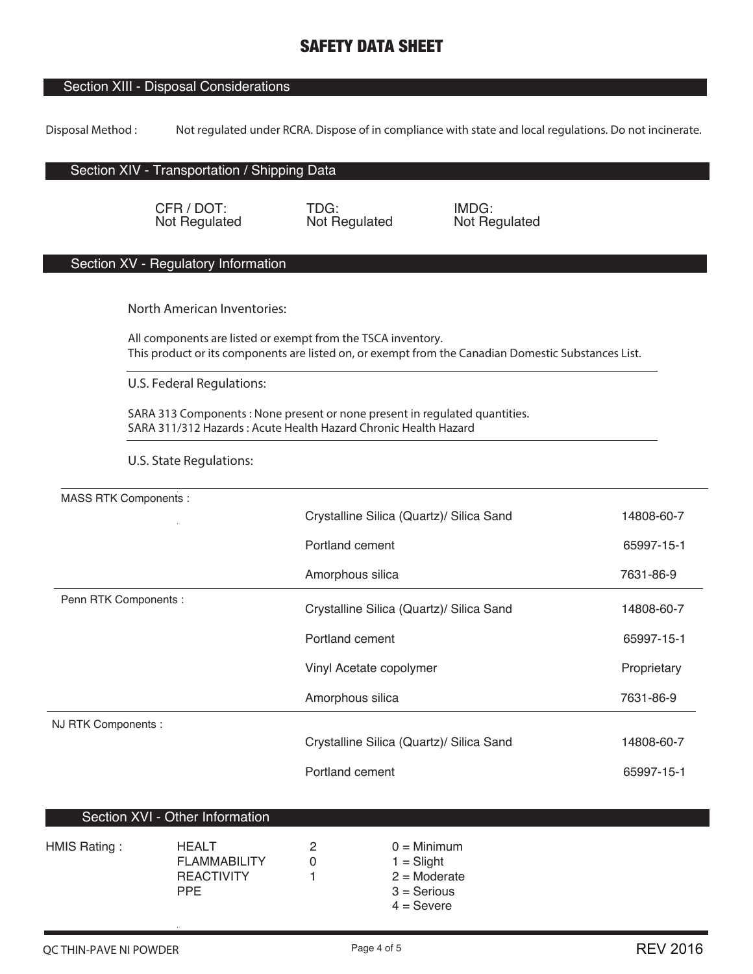## Section XIII - Disposal Considerations

**Disposal Method : Not regulated under RCRA. Dispose of in compliance with state and local regulations. Do not incinerate.**

#### Section XIV - Transportation / Shipping Data

CFR / DOT: Not Regulated

TDG: Not Regulated IMDG: Not Regulated

#### Section XV - Regulatory Information

**North American Inventories:**

**All components are listed or exempt from the TSCA inventory. This product or its components are listed on, or exempt from the Canadian Domestic Substances List.**

**U.S. Federal Regulations:**

**SARA 313 Components : None present or none present in regulated quantities. SARA 311/312 Hazards : Acute Health Hazard Chronic Health Hazard**

**U.S. State Regulations:**

| <b>MASS RTK Components:</b> |                                          |             |
|-----------------------------|------------------------------------------|-------------|
|                             | Crystalline Silica (Quartz)/ Silica Sand | 14808-60-7  |
|                             | Portland cement                          | 65997-15-1  |
|                             | Amorphous silica                         | 7631-86-9   |
| Penn RTK Components :       | Crystalline Silica (Quartz)/ Silica Sand | 14808-60-7  |
|                             | Portland cement                          | 65997-15-1  |
|                             | Vinyl Acetate copolymer                  | Proprietary |
|                             | Amorphous silica                         | 7631-86-9   |
| NJ RTK Components :         |                                          |             |
|                             | Crystalline Silica (Quartz)/ Silica Sand | 14808-60-7  |
|                             | Portland cement                          | 65997-15-1  |

### Section XVI - Other Information

| HMIS Rating: | <b>HEALT</b><br><b>FLAMMABILITY</b><br><b>REACTIVITY</b><br><b>PPF</b> | 2 | $0 =$ Minimum<br>$1 =$ Slight<br>$2 =$ Moderate<br>$3 =$ Serious |
|--------------|------------------------------------------------------------------------|---|------------------------------------------------------------------|
|              |                                                                        |   | $4 =$ Severe                                                     |